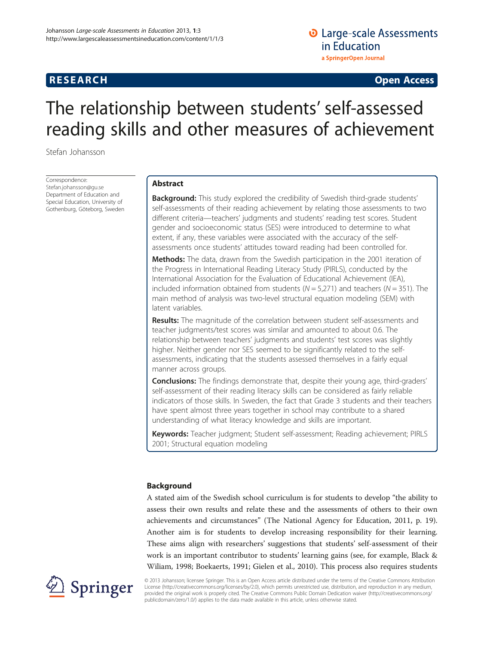# **RESEARCH RESEARCH** *CHECK <b>CHECK*

# The relationship between students' self-assessed reading skills and other measures of achievement

Stefan Johansson

Correspondence: [Stefan.johansson@gu.se](mailto:Stefan.johansson@gu.se) Department of Education and Special Education, University of Gothenburg, Göteborg, Sweden

# Abstract

**Background:** This study explored the credibility of Swedish third-grade students' self-assessments of their reading achievement by relating those assessments to two different criteria—teachers' judgments and students' reading test scores. Student gender and socioeconomic status (SES) were introduced to determine to what extent, if any, these variables were associated with the accuracy of the selfassessments once students' attitudes toward reading had been controlled for.

Methods: The data, drawn from the Swedish participation in the 2001 iteration of the Progress in International Reading Literacy Study (PIRLS), conducted by the International Association for the Evaluation of Educational Achievement (IEA), included information obtained from students ( $N = 5,271$ ) and teachers ( $N = 351$ ). The main method of analysis was two-level structural equation modeling (SEM) with latent variables.

Results: The magnitude of the correlation between student self-assessments and teacher judgments/test scores was similar and amounted to about 0.6. The relationship between teachers' judgments and students' test scores was slightly higher. Neither gender nor SES seemed to be significantly related to the selfassessments, indicating that the students assessed themselves in a fairly equal manner across groups.

**Conclusions:** The findings demonstrate that, despite their young age, third-graders' self-assessment of their reading literacy skills can be considered as fairly reliable indicators of those skills. In Sweden, the fact that Grade 3 students and their teachers have spent almost three years together in school may contribute to a shared understanding of what literacy knowledge and skills are important.

Keywords: Teacher judgment; Student self-assessment; Reading achievement; PIRLS 2001; Structural equation modeling

## Background

A stated aim of the Swedish school curriculum is for students to develop "the ability to assess their own results and relate these and the assessments of others to their own achievements and circumstances" (The National Agency for Education, [2011](#page-16-0), p. 19). Another aim is for students to develop increasing responsibility for their learning. These aims align with researchers' suggestions that students' self-assessment of their work is an important contributor to students' learning gains (see, for example, Black & Wiliam, [1998;](#page-14-0) Boekaerts, [1991](#page-14-0); Gielen et al., [2010\)](#page-15-0). This process also requires students



© 2013 Johansson; licensee Springer. This is an Open Access article distributed under the terms of the Creative Commons Attribution License [\(http://creativecommons.org/licenses/by/2.0\)](http://creativecommons.org/licenses/by/2.0), which permits unrestricted use, distribution, and reproduction in any medium, provided the original work is properly cited. The Creative Commons Public Domain Dedication waiver [\(http://creativecommons.org/](http://creativecommons.org/publicdomain/zero/1.0/) [publicdomain/zero/1.0/](http://creativecommons.org/publicdomain/zero/1.0/)) applies to the data made available in this article, unless otherwise stated.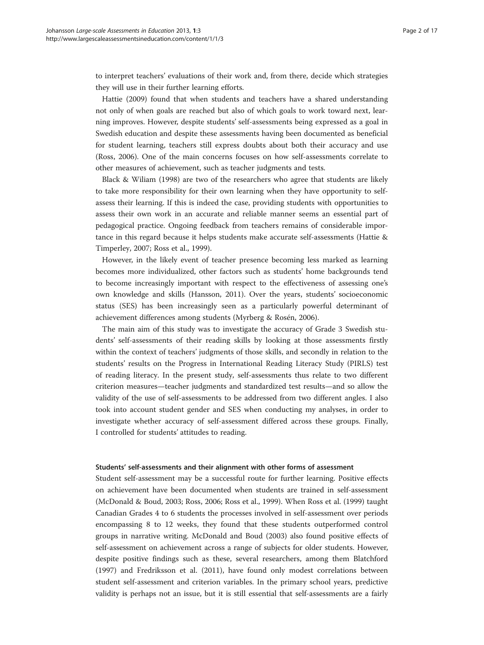to interpret teachers' evaluations of their work and, from there, decide which strategies they will use in their further learning efforts.

Hattie [\(2009](#page-15-0)) found that when students and teachers have a shared understanding not only of when goals are reached but also of which goals to work toward next, learning improves. However, despite students' self-assessments being expressed as a goal in Swedish education and despite these assessments having been documented as beneficial for student learning, teachers still express doubts about both their accuracy and use (Ross, [2006](#page-15-0)). One of the main concerns focuses on how self-assessments correlate to other measures of achievement, such as teacher judgments and tests.

Black & Wiliam ([1998](#page-14-0)) are two of the researchers who agree that students are likely to take more responsibility for their own learning when they have opportunity to selfassess their learning. If this is indeed the case, providing students with opportunities to assess their own work in an accurate and reliable manner seems an essential part of pedagogical practice. Ongoing feedback from teachers remains of considerable importance in this regard because it helps students make accurate self-assessments (Hattie & Timperley, [2007](#page-15-0); Ross et al., [1999](#page-15-0)).

However, in the likely event of teacher presence becoming less marked as learning becomes more individualized, other factors such as students' home backgrounds tend to become increasingly important with respect to the effectiveness of assessing one's own knowledge and skills (Hansson, [2011\)](#page-15-0). Over the years, students' socioeconomic status (SES) has been increasingly seen as a particularly powerful determinant of achievement differences among students (Myrberg & Rosén, [2006\)](#page-15-0).

The main aim of this study was to investigate the accuracy of Grade 3 Swedish students' self-assessments of their reading skills by looking at those assessments firstly within the context of teachers' judgments of those skills, and secondly in relation to the students' results on the Progress in International Reading Literacy Study (PIRLS) test of reading literacy. In the present study, self-assessments thus relate to two different criterion measures—teacher judgments and standardized test results—and so allow the validity of the use of self-assessments to be addressed from two different angles. I also took into account student gender and SES when conducting my analyses, in order to investigate whether accuracy of self-assessment differed across these groups. Finally, I controlled for students' attitudes to reading.

#### Students' self-assessments and their alignment with other forms of assessment

Student self-assessment may be a successful route for further learning. Positive effects on achievement have been documented when students are trained in self-assessment (McDonald & Boud, [2003](#page-15-0); Ross, [2006;](#page-15-0) Ross et al., [1999\)](#page-15-0). When Ross et al. ([1999\)](#page-15-0) taught Canadian Grades 4 to 6 students the processes involved in self-assessment over periods encompassing 8 to 12 weeks, they found that these students outperformed control groups in narrative writing. McDonald and Boud ([2003](#page-15-0)) also found positive effects of self-assessment on achievement across a range of subjects for older students. However, despite positive findings such as these, several researchers, among them Blatchford ([1997](#page-14-0)) and Fredriksson et al. [\(2011\)](#page-15-0), have found only modest correlations between student self-assessment and criterion variables. In the primary school years, predictive validity is perhaps not an issue, but it is still essential that self-assessments are a fairly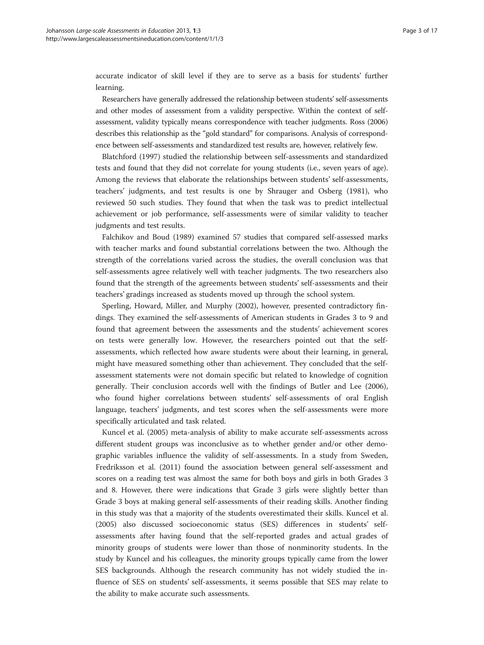accurate indicator of skill level if they are to serve as a basis for students' further learning.

Researchers have generally addressed the relationship between students' self-assessments and other modes of assessment from a validity perspective. Within the context of selfassessment, validity typically means correspondence with teacher judgments. Ross [\(2006](#page-15-0)) describes this relationship as the "gold standard" for comparisons. Analysis of correspondence between self-assessments and standardized test results are, however, relatively few.

Blatchford ([1997](#page-14-0)) studied the relationship between self-assessments and standardized tests and found that they did not correlate for young students (i.e., seven years of age). Among the reviews that elaborate the relationships between students' self-assessments, teachers' judgments, and test results is one by Shrauger and Osberg ([1981\)](#page-15-0), who reviewed 50 such studies. They found that when the task was to predict intellectual achievement or job performance, self-assessments were of similar validity to teacher judgments and test results.

Falchikov and Boud [\(1989\)](#page-15-0) examined 57 studies that compared self-assessed marks with teacher marks and found substantial correlations between the two. Although the strength of the correlations varied across the studies, the overall conclusion was that self-assessments agree relatively well with teacher judgments. The two researchers also found that the strength of the agreements between students' self-assessments and their teachers' gradings increased as students moved up through the school system.

Sperling, Howard, Miller, and Murphy ([2002\)](#page-15-0), however, presented contradictory findings. They examined the self-assessments of American students in Grades 3 to 9 and found that agreement between the assessments and the students' achievement scores on tests were generally low. However, the researchers pointed out that the selfassessments, which reflected how aware students were about their learning, in general, might have measured something other than achievement. They concluded that the selfassessment statements were not domain specific but related to knowledge of cognition generally. Their conclusion accords well with the findings of Butler and Lee ([2006](#page-15-0)), who found higher correlations between students' self-assessments of oral English language, teachers' judgments, and test scores when the self-assessments were more specifically articulated and task related.

Kuncel et al. [\(2005\)](#page-15-0) meta-analysis of ability to make accurate self-assessments across different student groups was inconclusive as to whether gender and/or other demographic variables influence the validity of self-assessments. In a study from Sweden, Fredriksson et al. [\(2011](#page-15-0)) found the association between general self-assessment and scores on a reading test was almost the same for both boys and girls in both Grades 3 and 8. However, there were indications that Grade 3 girls were slightly better than Grade 3 boys at making general self-assessments of their reading skills. Another finding in this study was that a majority of the students overestimated their skills. Kuncel et al. ([2005](#page-15-0)) also discussed socioeconomic status (SES) differences in students' selfassessments after having found that the self-reported grades and actual grades of minority groups of students were lower than those of nonminority students. In the study by Kuncel and his colleagues, the minority groups typically came from the lower SES backgrounds. Although the research community has not widely studied the influence of SES on students' self-assessments, it seems possible that SES may relate to the ability to make accurate such assessments.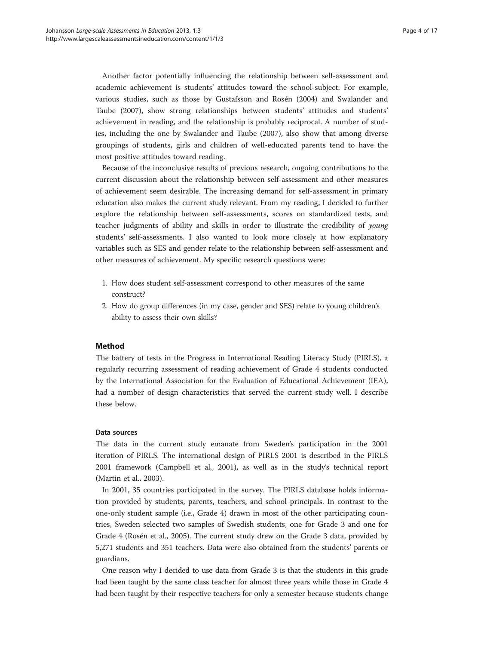Another factor potentially influencing the relationship between self-assessment and academic achievement is students' attitudes toward the school-subject. For example, various studies, such as those by Gustafsson and Rosén [\(2004\)](#page-15-0) and Swalander and Taube [\(2007](#page-15-0)), show strong relationships between students' attitudes and students' achievement in reading, and the relationship is probably reciprocal. A number of studies, including the one by Swalander and Taube [\(2007\)](#page-15-0), also show that among diverse groupings of students, girls and children of well-educated parents tend to have the most positive attitudes toward reading.

Because of the inconclusive results of previous research, ongoing contributions to the current discussion about the relationship between self-assessment and other measures of achievement seem desirable. The increasing demand for self-assessment in primary education also makes the current study relevant. From my reading, I decided to further explore the relationship between self-assessments, scores on standardized tests, and teacher judgments of ability and skills in order to illustrate the credibility of young students' self-assessments. I also wanted to look more closely at how explanatory variables such as SES and gender relate to the relationship between self-assessment and other measures of achievement. My specific research questions were:

- 1. How does student self-assessment correspond to other measures of the same construct?
- 2. How do group differences (in my case, gender and SES) relate to young children's ability to assess their own skills?

#### Method

The battery of tests in the Progress in International Reading Literacy Study (PIRLS), a regularly recurring assessment of reading achievement of Grade 4 students conducted by the International Association for the Evaluation of Educational Achievement (IEA), had a number of design characteristics that served the current study well. I describe these below.

#### Data sources

The data in the current study emanate from Sweden's participation in the 2001 iteration of PIRLS. The international design of PIRLS 2001 is described in the PIRLS 2001 framework (Campbell et al., [2001\)](#page-15-0), as well as in the study's technical report (Martin et al., [2003](#page-15-0)).

In 2001, 35 countries participated in the survey. The PIRLS database holds information provided by students, parents, teachers, and school principals. In contrast to the one-only student sample (i.e., Grade 4) drawn in most of the other participating countries, Sweden selected two samples of Swedish students, one for Grade 3 and one for Grade 4 (Rosén et al., [2005](#page-15-0)). The current study drew on the Grade 3 data, provided by 5,271 students and 351 teachers. Data were also obtained from the students' parents or guardians.

One reason why I decided to use data from Grade 3 is that the students in this grade had been taught by the same class teacher for almost three years while those in Grade 4 had been taught by their respective teachers for only a semester because students change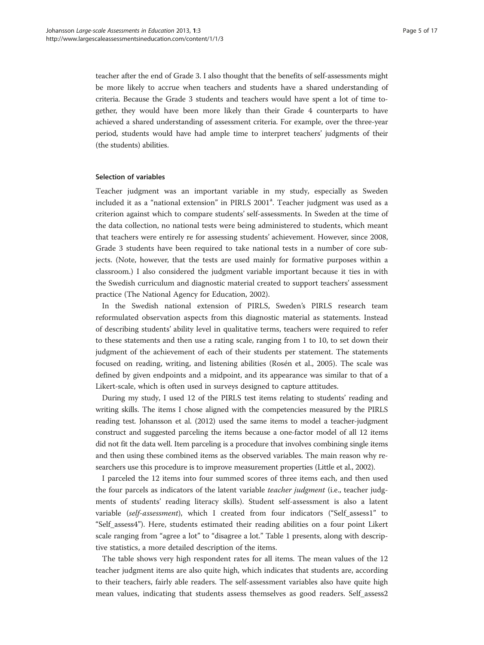teacher after the end of Grade 3. I also thought that the benefits of self-assessments might be more likely to accrue when teachers and students have a shared understanding of criteria. Because the Grade 3 students and teachers would have spent a lot of time together, they would have been more likely than their Grade 4 counterparts to have achieved a shared understanding of assessment criteria. For example, over the three-year period, students would have had ample time to interpret teachers' judgments of their (the students) abilities.

#### Selection of variables

Teacher judgment was an important variable in my study, especially as Sweden included it as a "national extension" in PIRLS 2001<sup>a</sup>. Teacher judgment was used as a criterion against which to compare students' self-assessments. In Sweden at the time of the data collection, no national tests were being administered to students, which meant that teachers were entirely re for assessing students' achievement. However, since 2008, Grade 3 students have been required to take national tests in a number of core subjects. (Note, however, that the tests are used mainly for formative purposes within a classroom.) I also considered the judgment variable important because it ties in with the Swedish curriculum and diagnostic material created to support teachers' assessment practice (The National Agency for Education, [2002\)](#page-16-0).

In the Swedish national extension of PIRLS, Sweden's PIRLS research team reformulated observation aspects from this diagnostic material as statements. Instead of describing students' ability level in qualitative terms, teachers were required to refer to these statements and then use a rating scale, ranging from 1 to 10, to set down their judgment of the achievement of each of their students per statement. The statements focused on reading, writing, and listening abilities (Rosén et al., [2005\)](#page-15-0). The scale was defined by given endpoints and a midpoint, and its appearance was similar to that of a Likert-scale, which is often used in surveys designed to capture attitudes.

During my study, I used 12 of the PIRLS test items relating to students' reading and writing skills. The items I chose aligned with the competencies measured by the PIRLS reading test. Johansson et al. [\(2012](#page-15-0)) used the same items to model a teacher-judgment construct and suggested parceling the items because a one-factor model of all 12 items did not fit the data well. Item parceling is a procedure that involves combining single items and then using these combined items as the observed variables. The main reason why researchers use this procedure is to improve measurement properties (Little et al., [2002\)](#page-15-0).

I parceled the 12 items into four summed scores of three items each, and then used the four parcels as indicators of the latent variable *teacher judgment* (i.e., teacher judgments of students' reading literacy skills). Student self-assessment is also a latent variable (self-assessment), which I created from four indicators ("Self\_assess1" to "Self\_assess4"). Here, students estimated their reading abilities on a four point Likert scale ranging from "agree a lot" to "disagree a lot." Table [1](#page-5-0) presents, along with descriptive statistics, a more detailed description of the items.

The table shows very high respondent rates for all items. The mean values of the 12 teacher judgment items are also quite high, which indicates that students are, according to their teachers, fairly able readers. The self-assessment variables also have quite high mean values, indicating that students assess themselves as good readers. Self\_assess2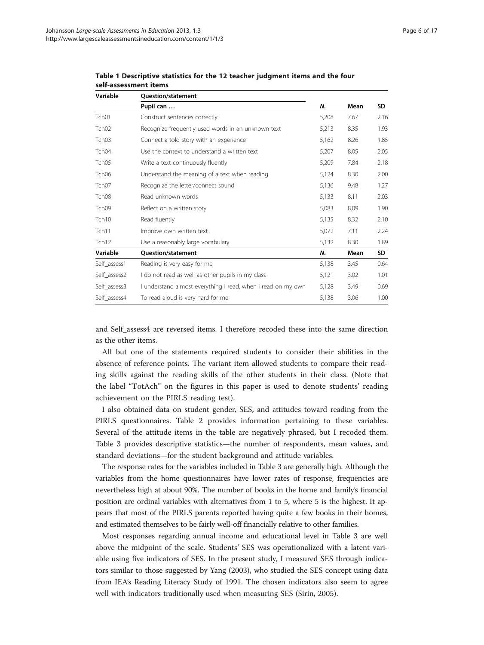| Variable          | Question/statement                                           |       |      |           |
|-------------------|--------------------------------------------------------------|-------|------|-----------|
|                   | Pupil can                                                    | N.    | Mean | <b>SD</b> |
| Tch <sub>01</sub> | Construct sentences correctly                                | 5,208 | 7.67 | 2.16      |
| Tch <sub>02</sub> | Recognize frequently used words in an unknown text           |       | 8.35 | 1.93      |
| Tch <sub>03</sub> | Connect a told story with an experience                      | 5,162 | 8.26 | 1.85      |
| Tch04             | Use the context to understand a written text                 |       | 8.05 | 2.05      |
| Tch <sub>05</sub> | Write a text continuously fluently                           | 5,209 | 7.84 | 2.18      |
| Tch06             | Understand the meaning of a text when reading                | 5,124 | 8.30 | 2.00      |
| Tch <sub>07</sub> | Recognize the letter/connect sound                           | 5,136 | 9.48 | 1.27      |
| Tch <sub>08</sub> | Read unknown words                                           | 5,133 | 8.11 | 2.03      |
| Tch <sub>09</sub> | Reflect on a written story                                   | 5,083 | 8.09 | 1.90      |
| Tch <sub>10</sub> | Read fluently                                                | 5,135 | 8.32 | 2.10      |
| Tch11             | Improve own written text                                     | 5,072 | 7.11 | 2.24      |
| Tch <sub>12</sub> | Use a reasonably large vocabulary                            | 5,132 | 8.30 | 1.89      |
| Variable          | <b>Ouestion/statement</b>                                    | N.    | Mean | SD        |
| Self_assess1      | Reading is very easy for me                                  | 5,138 | 3.45 | 0.64      |
| Self_assess2      | I do not read as well as other pupils in my class            | 5,121 | 3.02 | 1.01      |
| Self_assess3      | I understand almost everything I read, when I read on my own | 5.128 | 3.49 | 0.69      |
| Self assess4      | To read aloud is very hard for me                            | 5,138 | 3.06 | 1.00      |

<span id="page-5-0"></span>Table 1 Descriptive statistics for the 12 teacher judgment items and the four self-assessment items

and Self\_assess4 are reversed items. I therefore recoded these into the same direction as the other items.

All but one of the statements required students to consider their abilities in the absence of reference points. The variant item allowed students to compare their reading skills against the reading skills of the other students in their class. (Note that the label "TotAch" on the figures in this paper is used to denote students' reading achievement on the PIRLS reading test).

I also obtained data on student gender, SES, and attitudes toward reading from the PIRLS questionnaires. Table [2](#page-6-0) provides information pertaining to these variables. Several of the attitude items in the table are negatively phrased, but I recoded them. Table [3](#page-6-0) provides descriptive statistics—the number of respondents, mean values, and standard deviations—for the student background and attitude variables.

The response rates for the variables included in Table [3](#page-6-0) are generally high. Although the variables from the home questionnaires have lower rates of response, frequencies are nevertheless high at about 90%. The number of books in the home and family's financial position are ordinal variables with alternatives from 1 to 5, where 5 is the highest. It appears that most of the PIRLS parents reported having quite a few books in their homes, and estimated themselves to be fairly well-off financially relative to other families.

Most responses regarding annual income and educational level in Table [3](#page-6-0) are well above the midpoint of the scale. Students' SES was operationalized with a latent variable using five indicators of SES. In the present study, I measured SES through indicators similar to those suggested by Yang ([2003](#page-16-0)), who studied the SES concept using data from IEA's Reading Literacy Study of 1991. The chosen indicators also seem to agree well with indicators traditionally used when measuring SES (Sirin, [2005\)](#page-15-0).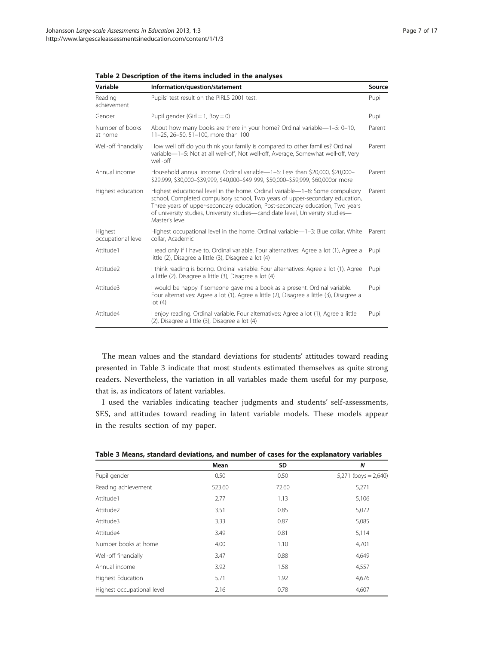| Variable                      | Information/question/statement                                                                                                                                                                                                                                                                                                                    | Source |
|-------------------------------|---------------------------------------------------------------------------------------------------------------------------------------------------------------------------------------------------------------------------------------------------------------------------------------------------------------------------------------------------|--------|
| Reading<br>achievement        | Pupils' test result on the PIRLS 2001 test.                                                                                                                                                                                                                                                                                                       | Pupil  |
| Gender                        | Pupil gender (Girl = 1, Boy = 0)                                                                                                                                                                                                                                                                                                                  | Pupil  |
| Number of books<br>at home    | About how many books are there in your home? Ordinal variable-1-5: 0-10,<br>11-25, 26-50, 51-100, more than 100                                                                                                                                                                                                                                   | Parent |
| Well-off financially          | How well off do you think your family is compared to other families? Ordinal<br>variable-1-5: Not at all well-off, Not well-off, Average, Somewhat well-off, Very<br>well-off                                                                                                                                                                     | Parent |
| Annual income                 | Household annual income. Ordinal variable-1-6: Less than \$20,000, \$20,000-<br>\$29,999, \$30,000-\$39,999, \$40,000-\$49 999, \$50,000-\$59,999, \$60,000or more                                                                                                                                                                                | Parent |
| Highest education             | Highest educational level in the home. Ordinal variable—1-8: Some compulsory<br>school, Completed compulsory school, Two years of upper-secondary education,<br>Three years of upper-secondary education, Post-secondary education, Two years<br>of university studies, University studies-candidate level, University studies-<br>Master's level | Parent |
| Highest<br>occupational level | Highest occupational level in the home. Ordinal variable—1-3: Blue collar, White<br>collar. Academic                                                                                                                                                                                                                                              | Parent |
| Attitude1                     | I read only if I have to. Ordinal variable. Four alternatives: Agree a lot (1), Agree a<br>little (2), Disagree a little (3), Disagree a lot (4)                                                                                                                                                                                                  | Pupil  |
| Attitude2                     | I think reading is boring. Ordinal variable. Four alternatives: Agree a lot (1), Agree<br>a little (2), Disagree a little (3), Disagree a lot (4)                                                                                                                                                                                                 | Pupil  |
| Attitude3                     | I would be happy if someone gave me a book as a present. Ordinal variable.<br>Four alternatives: Agree a lot (1), Agree a little (2), Disagree a little (3), Disagree a<br>lot(4)                                                                                                                                                                 | Pupil  |
| Attitude4                     | I enjoy reading. Ordinal variable. Four alternatives: Agree a lot (1), Agree a little<br>(2), Disagree a little (3), Disagree a lot (4)                                                                                                                                                                                                           | Pupil  |

<span id="page-6-0"></span>Table 2 Description of the items included in the analyses

The mean values and the standard deviations for students' attitudes toward reading presented in Table 3 indicate that most students estimated themselves as quite strong readers. Nevertheless, the variation in all variables made them useful for my purpose, that is, as indicators of latent variables.

I used the variables indicating teacher judgments and students' self-assessments, SES, and attitudes toward reading in latent variable models. These models appear in the [results](#page-7-0) section of my paper.

|                            | Mean   | SD    | N                      |
|----------------------------|--------|-------|------------------------|
| Pupil gender               | 0.50   | 0.50  | $5,271$ (boys = 2,640) |
| Reading achievement        | 523.60 | 72.60 | 5,271                  |
| Attitude1                  | 2.77   | 1.13  | 5,106                  |
| Attitude2                  | 3.51   | 0.85  | 5,072                  |
| Attitude3                  | 3.33   | 0.87  | 5,085                  |
| Attitude4                  | 3.49   | 0.81  | 5,114                  |
| Number books at home       | 4.00   | 1.10  | 4,701                  |
| Well-off financially       | 3.47   | 0.88  | 4,649                  |
| Annual income              | 3.92   | 1.58  | 4,557                  |
| Highest Education          | 5.71   | 1.92  | 4,676                  |
| Highest occupational level | 2.16   | 0.78  | 4,607                  |

Table 3 Means, standard deviations, and number of cases for the explanatory variables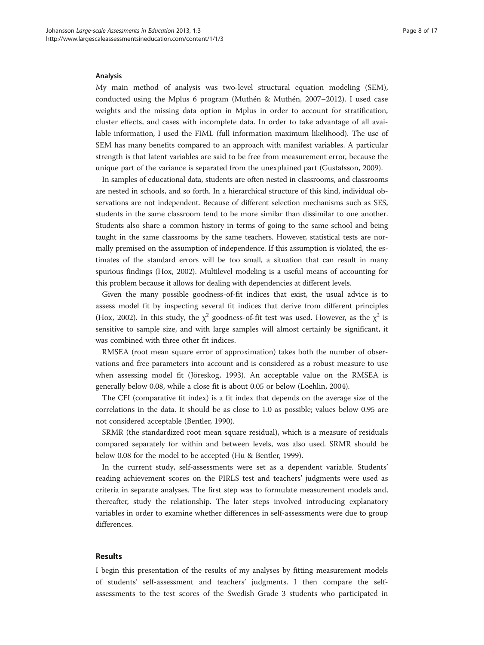#### <span id="page-7-0"></span>Analysis

My main method of analysis was two-level structural equation modeling (SEM), conducted using the Mplus 6 program (Muthén & Muthén, 2007–[2012\)](#page-15-0). I used case weights and the missing data option in Mplus in order to account for stratification, cluster effects, and cases with incomplete data. In order to take advantage of all available information, I used the FIML (full information maximum likelihood). The use of SEM has many benefits compared to an approach with manifest variables. A particular strength is that latent variables are said to be free from measurement error, because the unique part of the variance is separated from the unexplained part (Gustafsson, [2009](#page-15-0)).

In samples of educational data, students are often nested in classrooms, and classrooms are nested in schools, and so forth. In a hierarchical structure of this kind, individual observations are not independent. Because of different selection mechanisms such as SES, students in the same classroom tend to be more similar than dissimilar to one another. Students also share a common history in terms of going to the same school and being taught in the same classrooms by the same teachers. However, statistical tests are normally premised on the assumption of independence. If this assumption is violated, the estimates of the standard errors will be too small, a situation that can result in many spurious findings (Hox, [2002\)](#page-15-0). Multilevel modeling is a useful means of accounting for this problem because it allows for dealing with dependencies at different levels.

Given the many possible goodness-of-fit indices that exist, the usual advice is to assess model fit by inspecting several fit indices that derive from different principles (Hox, [2002\)](#page-15-0). In this study, the  $\chi^2$  goodness-of-fit test was used. However, as the  $\chi^2$  is sensitive to sample size, and with large samples will almost certainly be significant, it was combined with three other fit indices.

RMSEA (root mean square error of approximation) takes both the number of observations and free parameters into account and is considered as a robust measure to use when assessing model fit (Jöreskog, [1993\)](#page-15-0). An acceptable value on the RMSEA is generally below 0.08, while a close fit is about 0.05 or below (Loehlin, [2004](#page-15-0)).

The CFI (comparative fit index) is a fit index that depends on the average size of the correlations in the data. It should be as close to 1.0 as possible; values below 0.95 are not considered acceptable (Bentler, [1990](#page-14-0)).

SRMR (the standardized root mean square residual), which is a measure of residuals compared separately for within and between levels, was also used. SRMR should be below 0.08 for the model to be accepted (Hu & Bentler, [1999\)](#page-15-0).

In the current study, self-assessments were set as a dependent variable. Students' reading achievement scores on the PIRLS test and teachers' judgments were used as criteria in separate analyses. The first step was to formulate measurement models and, thereafter, study the relationship. The later steps involved introducing explanatory variables in order to examine whether differences in self-assessments were due to group differences.

#### Results

I begin this presentation of the results of my analyses by fitting measurement models of students' self-assessment and teachers' judgments. I then compare the selfassessments to the test scores of the Swedish Grade 3 students who participated in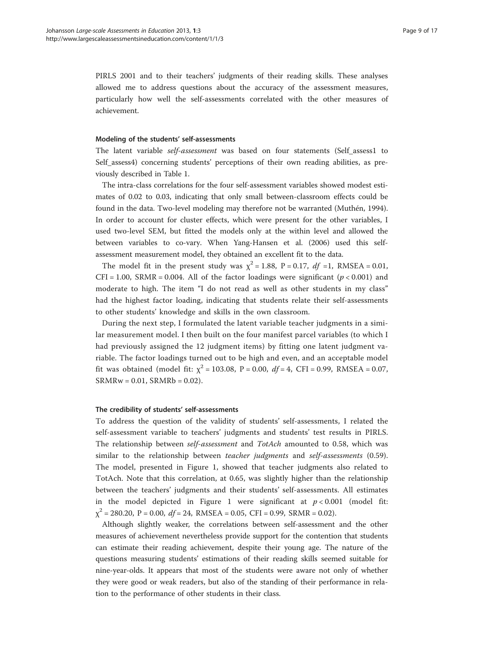PIRLS 2001 and to their teachers' judgments of their reading skills. These analyses allowed me to address questions about the accuracy of the assessment measures, particularly how well the self-assessments correlated with the other measures of achievement.

#### Modeling of the students' self-assessments

The latent variable self-assessment was based on four statements (Self\_assess1 to Self\_assess4) concerning students' perceptions of their own reading abilities, as previously described in Table [1](#page-5-0).

The intra-class correlations for the four self-assessment variables showed modest estimates of 0.02 to 0.03, indicating that only small between-classroom effects could be found in the data. Two-level modeling may therefore not be warranted (Muthén, [1994](#page-15-0)). In order to account for cluster effects, which were present for the other variables, I used two-level SEM, but fitted the models only at the within level and allowed the between variables to co-vary. When Yang-Hansen et al. ([2006\)](#page-16-0) used this selfassessment measurement model, they obtained an excellent fit to the data.

The model fit in the present study was  $\chi^2 = 1.88$ , P = 0.17, df =1, RMSEA = 0.01, CFI = 1.00, SRMR = 0.004. All of the factor loadings were significant ( $p < 0.001$ ) and moderate to high. The item "I do not read as well as other students in my class" had the highest factor loading, indicating that students relate their self-assessments to other students' knowledge and skills in the own classroom.

During the next step, I formulated the latent variable teacher judgments in a similar measurement model. I then built on the four manifest parcel variables (to which I had previously assigned the 12 judgment items) by fitting one latent judgment variable. The factor loadings turned out to be high and even, and an acceptable model fit was obtained (model fit:  $\chi^2 = 103.08$ , P = 0.00, df = 4, CFI = 0.99, RMSEA = 0.07,  $SRMRw = 0.01$ ,  $SRMRb = 0.02$ ).

#### The credibility of students' self-assessments

To address the question of the validity of students' self-assessments, I related the self-assessment variable to teachers' judgments and students' test results in PIRLS. The relationship between self-assessment and TotAch amounted to 0.58, which was similar to the relationship between *teacher judgments* and *self-assessments* (0.59). The model, presented in Figure [1,](#page-9-0) showed that teacher judgments also related to TotAch. Note that this correlation, at 0.65, was slightly higher than the relationship between the teachers' judgments and their students' self-assessments. All estimates in the model depicted in Figure [1](#page-9-0) were significant at  $p < 0.001$  (model fit:  $\chi^2$  = 280.20, P = 0.00, df = 24, RMSEA = 0.05, CFI = 0.99, SRMR = 0.02).

Although slightly weaker, the correlations between self-assessment and the other measures of achievement nevertheless provide support for the contention that students can estimate their reading achievement, despite their young age. The nature of the questions measuring students' estimations of their reading skills seemed suitable for nine-year-olds. It appears that most of the students were aware not only of whether they were good or weak readers, but also of the standing of their performance in relation to the performance of other students in their class.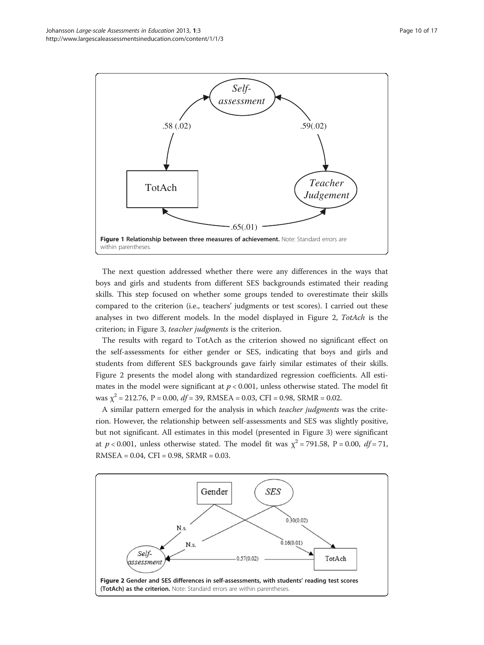<span id="page-9-0"></span>

The next question addressed whether there were any differences in the ways that boys and girls and students from different SES backgrounds estimated their reading skills. This step focused on whether some groups tended to overestimate their skills compared to the criterion (i.e., teachers' judgments or test scores). I carried out these analyses in two different models. In the model displayed in Figure 2, TotAch is the criterion; in Figure [3](#page-10-0), teacher judgments is the criterion.

The results with regard to TotAch as the criterion showed no significant effect on the self-assessments for either gender or SES, indicating that boys and girls and students from different SES backgrounds gave fairly similar estimates of their skills. Figure 2 presents the model along with standardized regression coefficients. All estimates in the model were significant at  $p < 0.001$ , unless otherwise stated. The model fit was  $\chi^2$  = 212.76, P = 0.00, df = 39, RMSEA = 0.03, CFI = 0.98, SRMR = 0.02.

A similar pattern emerged for the analysis in which teacher judgments was the criterion. However, the relationship between self-assessments and SES was slightly positive, but not significant. All estimates in this model (presented in Figure [3](#page-10-0)) were significant at  $p < 0.001$ , unless otherwise stated. The model fit was  $\chi^2 = 791.58$ , P = 0.00, df = 71, RMSEA = 0.04, CFI = 0.98, SRMR = 0.03.

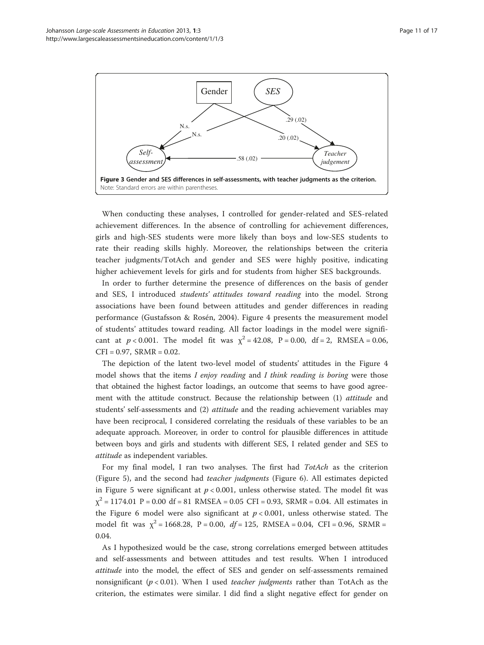<span id="page-10-0"></span>

When conducting these analyses, I controlled for gender-related and SES-related achievement differences. In the absence of controlling for achievement differences, girls and high-SES students were more likely than boys and low-SES students to rate their reading skills highly. Moreover, the relationships between the criteria teacher judgments/TotAch and gender and SES were highly positive, indicating higher achievement levels for girls and for students from higher SES backgrounds.

In order to further determine the presence of differences on the basis of gender and SES, I introduced students' attitudes toward reading into the model. Strong associations have been found between attitudes and gender differences in reading performance (Gustafsson & Rosén, [2004\)](#page-15-0). Figure [4](#page-11-0) presents the measurement model of students' attitudes toward reading. All factor loadings in the model were significant at  $p < 0.001$ . The model fit was  $\chi^2 = 42.08$ ,  $P = 0.00$ , df = 2, RMSEA = 0.06,  $CFI = 0.97$ ,  $SRMR = 0.02$ .

The depiction of the latent two-level model of students' attitudes in the Figure [4](#page-11-0) model shows that the items I enjoy reading and I think reading is boring were those that obtained the highest factor loadings, an outcome that seems to have good agreement with the attitude construct. Because the relationship between (1) attitude and students' self-assessments and (2) attitude and the reading achievement variables may have been reciprocal, I considered correlating the residuals of these variables to be an adequate approach. Moreover, in order to control for plausible differences in attitude between boys and girls and students with different SES, I related gender and SES to attitude as independent variables.

For my final model, I ran two analyses. The first had  $TotAch$  as the criterion (Figure [5](#page-11-0)), and the second had teacher judgments (Figure [6\)](#page-12-0). All estimates depicted in Figure [5](#page-11-0) were significant at  $p < 0.001$ , unless otherwise stated. The model fit was  $\chi^2$  = 1174.01 P = 0.00 df = 81 RMSEA = 0.05 CFI = 0.93, SRMR = 0.04. All estimates in the Figure [6](#page-12-0) model were also significant at  $p < 0.001$ , unless otherwise stated. The model fit was  $\chi^2 = 1668.28$ , P = 0.00, df = 125, RMSEA = 0.04, CFI = 0.96, SRMR = 0.04.

As I hypothesized would be the case, strong correlations emerged between attitudes and self-assessments and between attitudes and test results. When I introduced attitude into the model, the effect of SES and gender on self-assessments remained nonsignificant ( $p < 0.01$ ). When I used *teacher judgments* rather than TotAch as the criterion, the estimates were similar. I did find a slight negative effect for gender on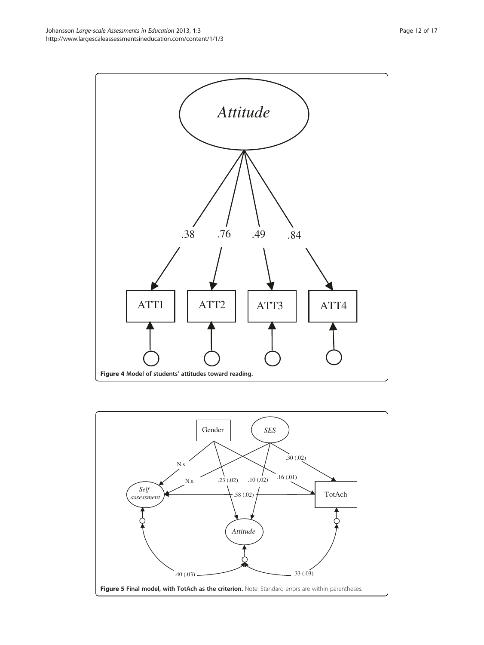<span id="page-11-0"></span>

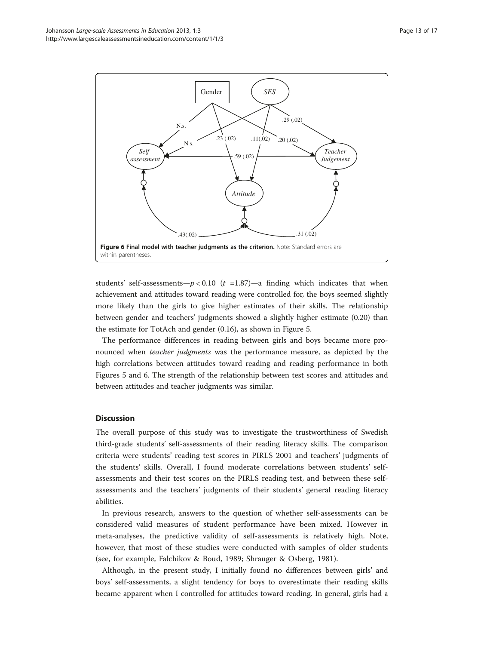<span id="page-12-0"></span>

students' self-assessments— $p < 0.10$  (t =1.87)—a finding which indicates that when achievement and attitudes toward reading were controlled for, the boys seemed slightly more likely than the girls to give higher estimates of their skills. The relationship between gender and teachers' judgments showed a slightly higher estimate (0.20) than the estimate for TotAch and gender (0.16), as shown in Figure [5.](#page-11-0)

The performance differences in reading between girls and boys became more pronounced when teacher judgments was the performance measure, as depicted by the high correlations between attitudes toward reading and reading performance in both Figures [5](#page-11-0) and 6. The strength of the relationship between test scores and attitudes and between attitudes and teacher judgments was similar.

### **Discussion**

The overall purpose of this study was to investigate the trustworthiness of Swedish third-grade students' self-assessments of their reading literacy skills. The comparison criteria were students' reading test scores in PIRLS 2001 and teachers' judgments of the students' skills. Overall, I found moderate correlations between students' selfassessments and their test scores on the PIRLS reading test, and between these selfassessments and the teachers' judgments of their students' general reading literacy abilities.

In previous research, answers to the question of whether self-assessments can be considered valid measures of student performance have been mixed. However in meta-analyses, the predictive validity of self-assessments is relatively high. Note, however, that most of these studies were conducted with samples of older students (see, for example, Falchikov & Boud, [1989](#page-15-0); Shrauger & Osberg, [1981\)](#page-15-0).

Although, in the present study, I initially found no differences between girls' and boys' self-assessments, a slight tendency for boys to overestimate their reading skills became apparent when I controlled for attitudes toward reading. In general, girls had a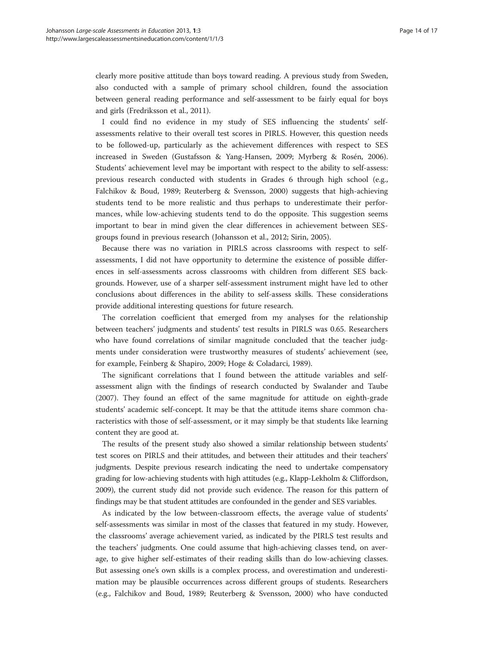clearly more positive attitude than boys toward reading. A previous study from Sweden, also conducted with a sample of primary school children, found the association between general reading performance and self-assessment to be fairly equal for boys and girls (Fredriksson et al., [2011](#page-15-0)).

I could find no evidence in my study of SES influencing the students' selfassessments relative to their overall test scores in PIRLS. However, this question needs to be followed-up, particularly as the achievement differences with respect to SES increased in Sweden (Gustafsson & Yang-Hansen, [2009;](#page-15-0) Myrberg & Rosén, [2006](#page-15-0)). Students' achievement level may be important with respect to the ability to self-assess: previous research conducted with students in Grades 6 through high school (e.g., Falchikov & Boud, [1989](#page-15-0); Reuterberg & Svensson, [2000](#page-15-0)) suggests that high-achieving students tend to be more realistic and thus perhaps to underestimate their performances, while low-achieving students tend to do the opposite. This suggestion seems important to bear in mind given the clear differences in achievement between SESgroups found in previous research (Johansson et al., [2012](#page-15-0); Sirin, [2005](#page-15-0)).

Because there was no variation in PIRLS across classrooms with respect to selfassessments, I did not have opportunity to determine the existence of possible differences in self-assessments across classrooms with children from different SES backgrounds. However, use of a sharper self-assessment instrument might have led to other conclusions about differences in the ability to self-assess skills. These considerations provide additional interesting questions for future research.

The correlation coefficient that emerged from my analyses for the relationship between teachers' judgments and students' test results in PIRLS was 0.65. Researchers who have found correlations of similar magnitude concluded that the teacher judgments under consideration were trustworthy measures of students' achievement (see, for example, Feinberg & Shapiro, [2009;](#page-15-0) Hoge & Coladarci, [1989](#page-15-0)).

The significant correlations that I found between the attitude variables and selfassessment align with the findings of research conducted by Swalander and Taube ([2007](#page-15-0)). They found an effect of the same magnitude for attitude on eighth-grade students' academic self-concept. It may be that the attitude items share common characteristics with those of self-assessment, or it may simply be that students like learning content they are good at.

The results of the present study also showed a similar relationship between students' test scores on PIRLS and their attitudes, and between their attitudes and their teachers' judgments. Despite previous research indicating the need to undertake compensatory grading for low-achieving students with high attitudes (e.g., Klapp-Lekholm & Cliffordson, [2009\)](#page-15-0), the current study did not provide such evidence. The reason for this pattern of findings may be that student attitudes are confounded in the gender and SES variables.

As indicated by the low between-classroom effects, the average value of students' self-assessments was similar in most of the classes that featured in my study. However, the classrooms' average achievement varied, as indicated by the PIRLS test results and the teachers' judgments. One could assume that high-achieving classes tend, on average, to give higher self-estimates of their reading skills than do low-achieving classes. But assessing one's own skills is a complex process, and overestimation and underestimation may be plausible occurrences across different groups of students. Researchers (e.g., Falchikov and Boud, [1989](#page-15-0); Reuterberg & Svensson, [2000](#page-15-0)) who have conducted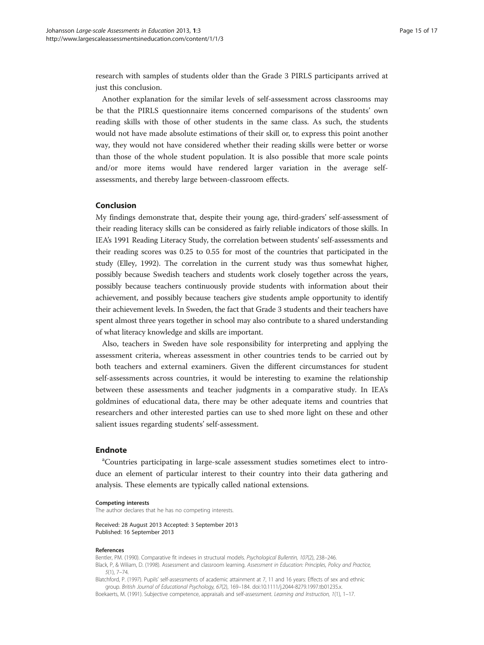<span id="page-14-0"></span>research with samples of students older than the Grade 3 PIRLS participants arrived at just this conclusion.

Another explanation for the similar levels of self-assessment across classrooms may be that the PIRLS questionnaire items concerned comparisons of the students' own reading skills with those of other students in the same class. As such, the students would not have made absolute estimations of their skill or, to express this point another way, they would not have considered whether their reading skills were better or worse than those of the whole student population. It is also possible that more scale points and/or more items would have rendered larger variation in the average selfassessments, and thereby large between-classroom effects.

#### Conclusion

My findings demonstrate that, despite their young age, third-graders' self-assessment of their reading literacy skills can be considered as fairly reliable indicators of those skills. In IEA's 1991 Reading Literacy Study, the correlation between students' self-assessments and their reading scores was 0.25 to 0.55 for most of the countries that participated in the study (Elley, [1992](#page-15-0)). The correlation in the current study was thus somewhat higher, possibly because Swedish teachers and students work closely together across the years, possibly because teachers continuously provide students with information about their achievement, and possibly because teachers give students ample opportunity to identify their achievement levels. In Sweden, the fact that Grade 3 students and their teachers have spent almost three years together in school may also contribute to a shared understanding of what literacy knowledge and skills are important.

Also, teachers in Sweden have sole responsibility for interpreting and applying the assessment criteria, whereas assessment in other countries tends to be carried out by both teachers and external examiners. Given the different circumstances for student self-assessments across countries, it would be interesting to examine the relationship between these assessments and teacher judgments in a comparative study. In IEA's goldmines of educational data, there may be other adequate items and countries that researchers and other interested parties can use to shed more light on these and other salient issues regarding students' self-assessment.

# Endnote

<sup>a</sup>Countries participating in large-scale assessment studies sometimes elect to introduce an element of particular interest to their country into their data gathering and analysis. These elements are typically called national extensions.

#### Competing interests

The author declares that he has no competing interests.

Received: 28 August 2013 Accepted: 3 September 2013 Published: 16 September 2013

#### References

Bentler, PM. (1990). Comparative fit indexes in structural models. Psychological Bullentin, 107(2), 238–246.

Black, P, & Wiliam, D. (1998). Assessment and classroom learning. Assessment in Education: Principles, Policy and Practice, 5(1), 7–74.

Blatchford, P. (1997). Pupils' self-assessments of academic attainment at 7, 11 and 16 years: Effects of sex and ethnic group. British Journal of Educational Psychology, 67(2), 169–184. doi:10.1111/j.2044-8279.1997.tb01235.x.

Boekaerts, M. (1991). Subjective competence, appraisals and self-assessment. Learning and Instruction, 1(1), 1–17.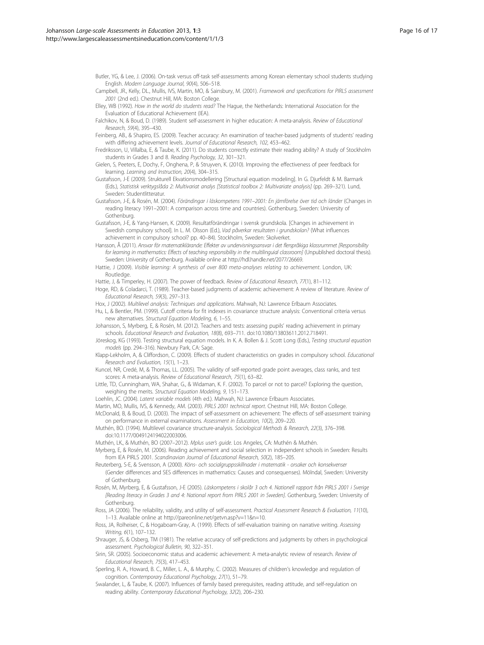<span id="page-15-0"></span>Butler, YG, & Lee, J. (2006). On-task versus off-task self-assessments among Korean elementary school students studying English. Modern Language Journal, 90(4), 506–518.

Campbell, JR., Kelly, DL., Mullis, IVS, Martin, MO, & Sainsbury, M. (2001). Framework and specifications for PIRLS assessment 2001 (2nd ed.). Chestnut Hill, MA: Boston College.

Elley, WB (1992). How in the world do students read? The Hague, the Netherlands: International Association for the Evaluation of Educational Achievement (IEA).

- Falchikov, N, & Boud, D. (1989). Student self-assessment in higher education: A meta-analysis. Review of Educational Research, 59(4), 395–430.
- Feinberg, AB., & Shapiro, ES. (2009). Teacher accuracy: An examination of teacher-based judgments of students' reading with differing achievement levels. Journal of Educational Research, 102, 453–462.
- Fredriksson, U, Villalba, E, & Taube, K. (2011). Do students correctly estimate their reading ability? A study of Stockholm students in Grades 3 and 8. Reading Psychology, 32, 301–321.
- Gielen, S, Peeters, E, Dochy, F, Onghena, P, & Struyven, K. (2010). Improving the effectiveness of peer feedback for learning. Learning and Instruction, 20(4), 304–315.
- Gustafsson, J-E (2009). Strukturell Ekvationsmodellering [Structural equation modeling]. In G. Djurfeldt & M. Barmark (Eds.), Statistisk verktygslåda 2: Multivariat analys [Statistical toolbox 2: Multivariate analysis] (pp. 269–321). Lund, Sweden: Studentlitteratur.
- Gustafsson, J-E, & Rosén, M. (2004). Förändingar i läskompetens 1991–2001: En jämförelse över tid och länder (Changes in reading literacy 1991–2001: A comparison across time and countries). Gothenburg, Sweden: University of Gothenburg.
- Gustafsson, J-E, & Yang-Hansen, K. (2009). Resultatförändringar i svensk grundskola. [Changes in achievement in Swedish compulsory school]. In L. M. Olsson (Ed.), Vad påverkar resultaten i grundskolan? (What influences achievement in compulsory school? pp. 40–84). Stockholm, Sweden: Skolverket.
- Hansson, Å (2011). Ansvar för matematiklärande: Effekter av undervisningsansvar i det flerspråkiga klassrummet [Responsibility for learning in mathematics: Effects of teaching responsibility in the multilinguial classroom] (Unpublished doctoral thesis). Sweden: University of Gothenburg. Available online at [http://hdl.handle.net/2077/26669.](http://hdl.handle.net/2077/26669)
- Hattie, J (2009). Visible learning: A synthesis of over 800 meta-analyses relating to achievement. London, UK: Routledge.
- Hattie, J, & Timperley, H. (2007). The power of feedback. Review of Educational Research, 77(1), 81-112.
- Hoge, RD, & Coladarci, T. (1989). Teacher-based judgments of academic achievement: A review of literature. Review of Educational Research, 59(3), 297–313.
- Hox, J (2002). Multilevel analysis: Techniques and applications. Mahwah, NJ: Lawrence Erlbaum Associates.
- Hu, L, & Bentler, PM. (1999). Cutoff criteria for fit indexes in covariance structure analysis: Conventional criteria versus new alternatives. Structural Equation Modeling, 6, 1–55.
- Johansson, S, Myrberg, E, & Rosén, M. (2012). Teachers and tests: assessing pupils' reading achievement in primary schools. Educational Research and Evaluation, 18(8), 693–711. doi:10.1080/13803611.2012.718491.
- Jöreskog, KG (1993). Testing structural equation models. In K. A. Bollen & J. Scott Long (Eds.), Testing structural equation models (pp. 294–316). Newbury Park, CA: Sage.
- Klapp-Lekholm, A, & Cliffordson, C. (2009). Effects of student characteristics on grades in compulsory school. Educational Research and Evaluation, 15(1), 1–23.
- Kuncel, NR, Credé, M, & Thomas, LL. (2005). The validity of self-reported grade point averages, class ranks, and test scores: A meta-analysis. Review of Educational Research, 75(1), 63–82.
- Little, TD, Cunningham, WA, Shahar, G., & Widaman, K. F. (2002). To parcel or not to parcel? Exploring the question, weighing the merits. Structural Equation Modeling, 9, 151–173.
- Loehlin, JC. (2004). Latent variable models (4th ed.). Mahwah, NJ: Lawrence Erlbaum Associates.
- Martin, MO, Mullis, IVS, & Kennedy, AM. (2003). PIRLS 2001 technical report. Chestnut Hill, MA: Boston College.
- McDonald, B, & Boud, D. (2003). The impact of self-assessment on achievement: The effects of self-assessment training on performance in external examinations. Assessment in Education, 10(2), 209–220.
- Muthén, BO. (1994). Multilevel covariance structure-analysis. Sociological Methods & Research, 22(3), 376–398. doi:10.1177/0049124194022003006.
- Muthén, LK., & Muthén, BO (2007–2012). Mplus user's guide. Los Angeles, CA: Muthén & Muthén.
- Myrberg, E, & Rosén, M. (2006). Reading achievement and social selection in independent schools in Sweden: Results from IEA PIRLS 2001. Scandinavian Journal of Educational Research, 50(2), 185–205.
- Reuterberg, S-E, & Svensson, A (2000). Köns- och socialgruppsskillnader i matematik orsaker och konsekvenser (Gender differences and SES differences in mathematics: Causes and consequenses). Mölndal, Sweden: University of Gothenburg.
- Rosén, M, Myrberg, E, & Gustafsson, J-E (2005). Läskompetens i skolår 3 och 4. Nationell rapport från PIRLS 2001 i Sverige [Reading literacy in Grades 3 and 4: National report from PIRLS 2001 in Sweden]. Gothenburg, Sweden: University of Gothenburg.
- Ross, JA (2006). The reliability, validity, and utility of self-assessment. Practical Assessment Research & Evaluation, 11(10), 1–13. Available online at [http://pareonline.net/getvn.asp?v=11&n=10.](http://pareonline.net/getvn.asp?v=11&n=10)
- Ross, JA, Rolheiser, C, & Hogaboam-Gray, A. (1999). Effects of self-evaluation training on narrative writing. Assessing Writing, 6(1), 107–132.
- Shrauger, JS, & Osberg, TM (1981). The relative accuracy of self-predictions and judgments by others in psychological assessment. Psychological Bulletin, 90, 322–351.
- Sirin, SR. (2005). Socioeconomic status and academic achievement: A meta-analytic review of research. Review of Educational Research, 75(3), 417–453.
- Sperling, R. A., Howard, B. C., Miller, L. A., & Murphy, C. (2002). Measures of children's knowledge and regulation of cognition. Contemporary Educational Psychology, 27(1), 51–79.
- Swalander, L, & Taube, K. (2007). Influences of family based prerequisites, reading attitude, and self-regulation on reading ability. Contemporary Educational Psychology, 32(2), 206–230.